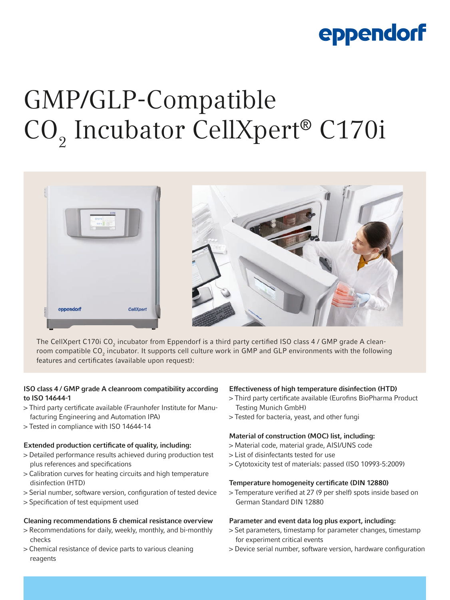# eppendorf

# GMP/GLP-Compatible CO<sub>2</sub> Incubator CellXpert® C170i



The CellXpert C170i CO<sub>2</sub> incubator from Eppendorf is a third party certified ISO class 4 / GMP grade A cleanroom compatible CO<sub>2</sub> incubator. It supports cell culture work in GMP and GLP environments with the following features and certificates (available upon request):

# ISO class 4 / GMP grade A cleanroom compatibility according to ISO 14644-1

- > Third party certificate available (Fraunhofer Institute for Manufacturing Engineering and Automation IPA)
- > Tested in compliance with ISO 14644-14

# Extended production certificate of quality, including:

- > Detailed performance results achieved during production test plus references and specifications
- > Calibration curves for heating circuits and high temperature disinfection (HTD)
- > Serial number, software version, configuration of tested device
- > Specification of test equipment used

# Cleaning recommendations & chemical resistance overview

- > Recommendations for daily, weekly, monthly, and bi-monthly checks
- > Chemical resistance of device parts to various cleaning reagents

# Effectiveness of high temperature disinfection (HTD)

- > Third party certificate available (Eurofins BioPharma Product Testing Munich GmbH)
- > Tested for bacteria, yeast, and other fungi

# Material of construction (MOC) list, including:

- > Material code, material grade, AISI/UNS code
- > List of disinfectants tested for use
- > Cytotoxicity test of materials: passed (ISO 10993-5:2009)

#### Temperature homogeneity certificate (DIN 12880)

> Temperature verified at 27 (9 per shelf) spots inside based on German Standard DIN 12880

# Parameter and event data log plus export, including:

- > Set parameters, timestamp for parameter changes, timestamp for experiment critical events
- > Device serial number, software version, hardware configuration